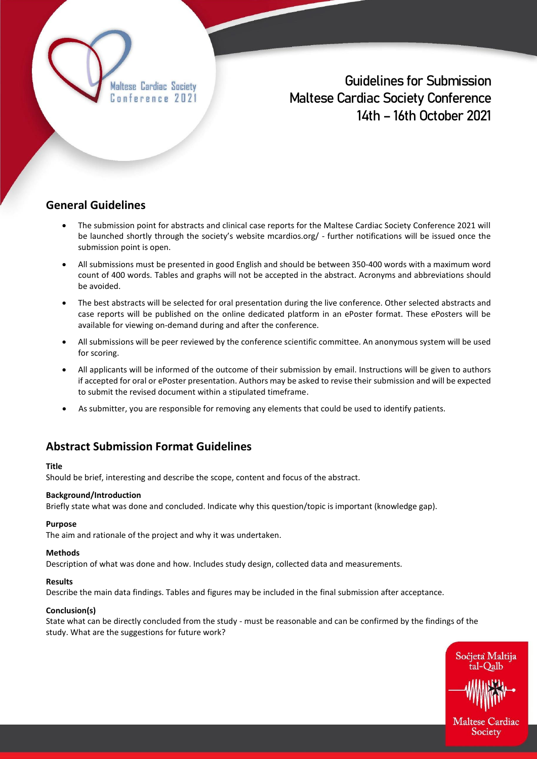Maltese Cardiac Society Conference 2021

**Guidelines for Submission Maltese Cardiac Society Conference 14th – 16th October 2021**

### **General Guidelines**

- The submission point for abstracts and clinical case reports for the Maltese Cardiac Society Conference 2021 will be launched shortly through the society's website mcardios.org/ - further notifications will be issued once the submission point is open.
- All submissions must be presented in good English and should be between 350-400 words with a maximum word count of 400 words. Tables and graphs will not be accepted in the abstract. Acronyms and abbreviations should be avoided.
- The best abstracts will be selected for oral presentation during the live conference. Other selected abstracts and case reports will be published on the online dedicated platform in an ePoster format. These ePosters will be available for viewing on-demand during and after the conference.
- All submissions will be peer reviewed by the conference scientific committee. An anonymous system will be used for scoring.
- All applicants will be informed of the outcome of their submission by email. Instructions will be given to authors if accepted for oral or ePoster presentation. Authors may be asked to revise their submission and will be expected to submit the revised document within a stipulated timeframe.
- As submitter, you are responsible for removing any elements that could be used to identify patients.

# **Abstract Submission Format Guidelines**

### **Title**

Should be brief, interesting and describe the scope, content and focus of the abstract.

### **Background/Introduction**

Briefly state what was done and concluded. Indicate why this question/topic is important (knowledge gap).

### **Purpose**

The aim and rationale of the project and why it was undertaken.

### **Methods**

Description of what was done and how. Includes study design, collected data and measurements.

### **Results**

Describe the main data findings. Tables and figures may be included in the final submission after acceptance.

### **Conclusion(s)**

State what can be directly concluded from the study - must be reasonable and can be confirmed by the findings of the study. What are the suggestions for future work?